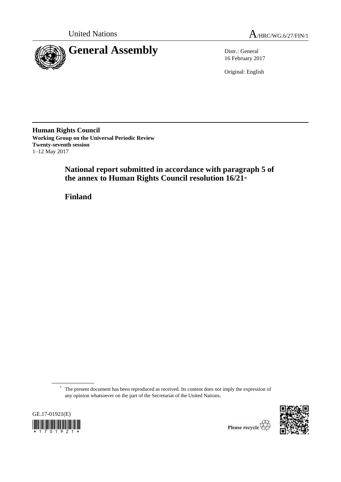



16 February 2017

Original: English

**Human Rights Council Working Group on the Universal Periodic Review Twenty-seventh session** 1–12 May 2017

> **National report submitted in accordance with paragraph 5 of the annex to Human Rights Council resolution 16/21**\*

**Finland**

<sup>\*</sup> The present document has been reproduced as received. Its content does not imply the expression of any opinion whatsoever on the part of the Secretariat of the United Nations.



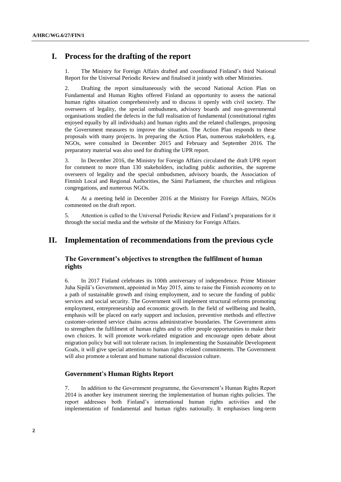# **I. Process for the drafting of the report**

1. The Ministry for Foreign Affairs drafted and coordinated Finland's third National Report for the Universal Periodic Review and finalised it jointly with other Ministries.

2. Drafting the report simultaneously with the second National Action Plan on Fundamental and Human Rights offered Finland an opportunity to assess the national human rights situation comprehensively and to discuss it openly with civil society. The overseers of legality, the special ombudsmen, advisory boards and non-governmental organisations studied the defects in the full realisation of fundamental (constitutional rights enjoyed equally by all individuals) and human rights and the related challenges, proposing the Government measures to improve the situation. The Action Plan responds to these proposals with many projects. In preparing the Action Plan, numerous stakeholders, e.g. NGOs, were consulted in December 2015 and February and September 2016. The preparatory material was also used for drafting the UPR report.

3. In December 2016, the Ministry for Foreign Affairs circulated the draft UPR report for comment to more than 130 stakeholders, including public authorities, the supreme overseers of legality and the special ombudsmen, advisory boards, the Association of Finnish Local and Regional Authorities, the Sámi Parliament, the churches and religious congregations, and numerous NGOs.

4. At a meeting held in December 2016 at the Ministry for Foreign Affairs, NGOs commented on the draft report.

5. Attention is called to the Universal Periodic Review and Finland's preparations for it through the social media and the website of the Ministry for Foreign Affairs.

# **II. Implementation of recommendations from the previous cycle**

# **The Government's objectives to strengthen the fulfilment of human rights**

6. In 2017 Finland celebrates its 100th anniversary of independence. Prime Minister Juha Sipilä's Government, appointed in May 2015, aims to raise the Finnish economy on to a path of sustainable growth and rising employment, and to secure the funding of public services and social security. The Government will implement structural reforms promoting employment, entrepreneurship and economic growth. In the field of wellbeing and health, emphasis will be placed on early support and inclusion, preventive methods and effective customer-oriented service chains across administrative boundaries. The Government aims to strengthen the fulfilment of human rights and to offer people opportunities to make their own choices. It will promote work-related migration and encourage open debate about migration policy but will not tolerate racism. In implementing the Sustainable Development Goals, it will give special attention to human rights related commitments. The Government will also promote a tolerant and humane national discussion culture.

## **Government's Human Rights Report**

7. In addition to the Government programme, the Government's Human Rights Report 2014 is another key instrument steering the implementation of human rights policies. The report addresses both Finland's international human rights activities and the implementation of fundamental and human rights nationally. It emphasises long-term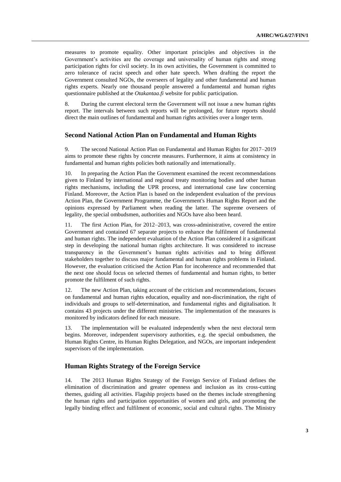measures to promote equality. Other important principles and objectives in the Government's activities are the coverage and universality of human rights and strong participation rights for civil society. In its own activities, the Government is committed to zero tolerance of racist speech and other hate speech. When drafting the report the Government consulted NGOs, the overseers of legality and other fundamental and human rights experts. Nearly one thousand people answered a fundamental and human rights questionnaire published at the *Otakantaa.fi* website for public participation.

8. During the current electoral term the Government will not issue a new human rights report. The intervals between such reports will be prolonged, for future reports should direct the main outlines of fundamental and human rights activities over a longer term.

## **Second National Action Plan on Fundamental and Human Rights**

9. The second National Action Plan on Fundamental and Human Rights for 2017–2019 aims to promote these rights by concrete measures. Furthermore, it aims at consistency in fundamental and human rights policies both nationally and internationally.

10. In preparing the Action Plan the Government examined the recent recommendations given to Finland by international and regional treaty monitoring bodies and other human rights mechanisms, including the UPR process, and international case law concerning Finland. Moreover, the Action Plan is based on the independent evaluation of the previous Action Plan, the Government Programme, the Government's Human Rights Report and the opinions expressed by Parliament when reading the latter. The supreme overseers of legality, the special ombudsmen, authorities and NGOs have also been heard.

11. The first Action Plan, for 2012–2013, was cross-administrative, covered the entire Government and contained 67 separate projects to enhance the fulfilment of fundamental and human rights. The independent evaluation of the Action Plan considered it a significant step in developing the national human rights architecture. It was considered to increase transparency in the Government's human rights activities and to bring different stakeholders together to discuss major fundamental and human rights problems in Finland. However, the evaluation criticised the Action Plan for incoherence and recommended that the next one should focus on selected themes of fundamental and human rights, to better promote the fulfilment of such rights.

12. The new Action Plan, taking account of the criticism and recommendations, focuses on fundamental and human rights education, equality and non-discrimination, the right of individuals and groups to self-determination, and fundamental rights and digitalisation. It contains 43 projects under the different ministries. The implementation of the measures is monitored by indicators defined for each measure.

13. The implementation will be evaluated independently when the next electoral term begins. Moreover, independent supervisory authorities, e.g. the special ombudsmen, the Human Rights Centre, its Human Rights Delegation, and NGOs, are important independent supervisors of the implementation.

# **Human Rights Strategy of the Foreign Service**

14. The 2013 Human Rights Strategy of the Foreign Service of Finland defines the elimination of discrimination and greater openness and inclusion as its cross-cutting themes, guiding all activities. Flagship projects based on the themes include strengthening the human rights and participation opportunities of women and girls, and promoting the legally binding effect and fulfilment of economic, social and cultural rights. The Ministry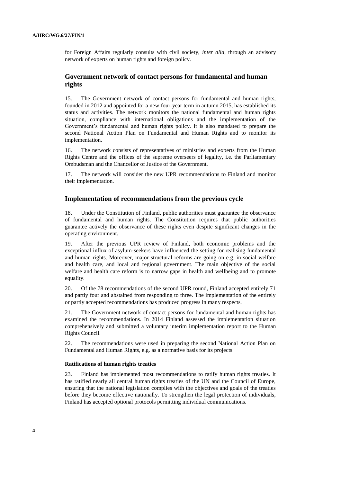for Foreign Affairs regularly consults with civil society, *inter alia*, through an advisory network of experts on human rights and foreign policy.

# **Government network of contact persons for fundamental and human rights**

15. The Government network of contact persons for fundamental and human rights, founded in 2012 and appointed for a new four-year term in autumn 2015, has established its status and activities. The network monitors the national fundamental and human rights situation, compliance with international obligations and the implementation of the Government's fundamental and human rights policy. It is also mandated to prepare the second National Action Plan on Fundamental and Human Rights and to monitor its implementation.

16. The network consists of representatives of ministries and experts from the Human Rights Centre and the offices of the supreme overseers of legality, i.e. the Parliamentary Ombudsman and the Chancellor of Justice of the Government.

17. The network will consider the new UPR recommendations to Finland and monitor their implementation.

### **Implementation of recommendations from the previous cycle**

18. Under the Constitution of Finland, public authorities must guarantee the observance of fundamental and human rights. The Constitution requires that public authorities guarantee actively the observance of these rights even despite significant changes in the operating environment.

19. After the previous UPR review of Finland, both economic problems and the exceptional influx of asylum-seekers have influenced the setting for realising fundamental and human rights. Moreover, major structural reforms are going on e.g. in social welfare and health care, and local and regional government. The main objective of the social welfare and health care reform is to narrow gaps in health and wellbeing and to promote equality.

20. Of the 78 recommendations of the second UPR round, Finland accepted entirely 71 and partly four and abstained from responding to three. The implementation of the entirely or partly accepted recommendations has produced progress in many respects.

21. The Government network of contact persons for fundamental and human rights has examined the recommendations. In 2014 Finland assessed the implementation situation comprehensively and submitted a voluntary interim implementation report to the Human Rights Council.

22. The recommendations were used in preparing the second National Action Plan on Fundamental and Human Rights, e.g. as a normative basis for its projects.

### **Ratifications of human rights treaties**

23. Finland has implemented most recommendations to ratify human rights treaties. It has ratified nearly all central human rights treaties of the UN and the Council of Europe, ensuring that the national legislation complies with the objectives and goals of the treaties before they become effective nationally. To strengthen the legal protection of individuals, Finland has accepted optional protocols permitting individual communications.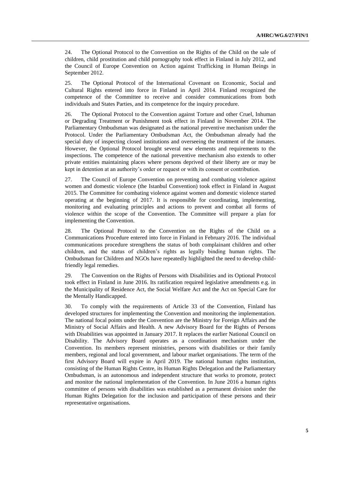24. The Optional Protocol to the Convention on the Rights of the Child on the sale of children, child prostitution and child pornography took effect in Finland in July 2012, and the Council of Europe Convention on Action against Trafficking in Human Beings in September 2012.

25. The Optional Protocol of the International Covenant on Economic, Social and Cultural Rights entered into force in Finland in April 2014. Finland recognized the competence of the Committee to receive and consider communications from both individuals and States Parties, and its competence for the inquiry procedure.

26. The Optional Protocol to the Convention against Torture and other Cruel, Inhuman or Degrading Treatment or Punishment took effect in Finland in November 2014. The Parliamentary Ombudsman was designated as the national preventive mechanism under the Protocol. Under the Parliamentary Ombudsman Act, the Ombudsman already had the special duty of inspecting closed institutions and overseeing the treatment of the inmates. However, the Optional Protocol brought several new elements and requirements to the inspections. The competence of the national preventive mechanism also extends to other private entities maintaining places where persons deprived of their liberty are or may be kept in detention at an authority's order or request or with its consent or contribution.

27. The Council of Europe Convention on preventing and combating violence against women and domestic violence (the Istanbul Convention) took effect in Finland in August 2015. The Committee for combating violence against women and domestic violence started operating at the beginning of 2017. It is responsible for coordinating, implementing, monitoring and evaluating principles and actions to prevent and combat all forms of violence within the scope of the Convention. The Committee will prepare a plan for implementing the Convention.

28. The Optional Protocol to the Convention on the Rights of the Child on a Communications Procedure entered into force in Finland in February 2016. The individual communications procedure strengthens the status of both complainant children and other children, and the status of children's rights as legally binding human rights. The Ombudsman for Children and NGOs have repeatedly highlighted the need to develop childfriendly legal remedies.

29. The Convention on the Rights of Persons with Disabilities and its Optional Protocol took effect in Finland in June 2016. Its ratification required legislative amendments e.g. in the Municipality of Residence Act, the Social Welfare Act and the Act on Special Care for the Mentally Handicapped.

30. To comply with the requirements of Article 33 of the Convention, Finland has developed structures for implementing the Convention and monitoring the implementation. The national focal points under the Convention are the Ministry for Foreign Affairs and the Ministry of Social Affairs and Health. A new Advisory Board for the Rights of Persons with Disabilities was appointed in January 2017. It replaces the earlier National Council on Disability. The Advisory Board operates as a coordination mechanism under the Convention. Its members represent ministries, persons with disabilities or their family members, regional and local government, and labour market organisations. The term of the first Advisory Board will expire in April 2019. The national human rights institution, consisting of the Human Rights Centre, its Human Rights Delegation and the Parliamentary Ombudsman, is an autonomous and independent structure that works to promote, protect and monitor the national implementation of the Convention. In June 2016 a human rights committee of persons with disabilities was established as a permanent division under the Human Rights Delegation for the inclusion and participation of these persons and their representative organisations.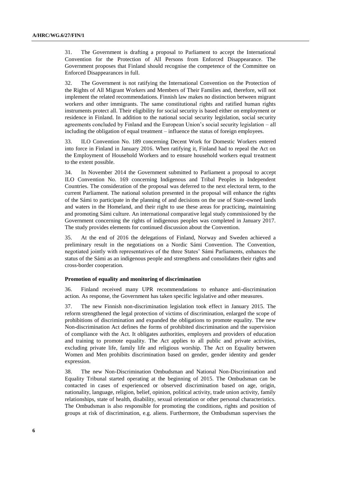31. The Government is drafting a proposal to Parliament to accept the International Convention for the Protection of All Persons from Enforced Disappearance. The Government proposes that Finland should recognise the competence of the Committee on Enforced Disappearances in full.

32. The Government is not ratifying the International Convention on the Protection of the Rights of All Migrant Workers and Members of Their Families and, therefore, will not implement the related recommendations. Finnish law makes no distinction between migrant workers and other immigrants. The same constitutional rights and ratified human rights instruments protect all. Their eligibility for social security is based either on employment or residence in Finland. In addition to the national social security legislation, social security agreements concluded by Finland and the European Union's social security legislation – all including the obligation of equal treatment – influence the status of foreign employees.

33. ILO Convention No. 189 concerning Decent Work for Domestic Workers entered into force in Finland in January 2016. When ratifying it, Finland had to repeal the Act on the Employment of Household Workers and to ensure household workers equal treatment to the extent possible.

34. In November 2014 the Government submitted to Parliament a proposal to accept ILO Convention No. 169 concerning Indigenous and Tribal Peoples in Independent Countries. The consideration of the proposal was deferred to the next electoral term, to the current Parliament. The national solution presented in the proposal will enhance the rights of the Sámi to participate in the planning of and decisions on the use of State-owned lands and waters in the Homeland, and their right to use these areas for practicing, maintaining and promoting Sámi culture. An international comparative legal study commissioned by the Government concerning the rights of indigenous peoples was completed in January 2017. The study provides elements for continued discussion about the Convention.

35. At the end of 2016 the delegations of Finland, Norway and Sweden achieved a preliminary result in the negotiations on a Nordic Sámi Convention. The Convention, negotiated jointly with representatives of the three States' Sámi Parliaments, enhances the status of the Sámi as an indigenous people and strengthens and consolidates their rights and cross-border cooperation.

### **Promotion of equality and monitoring of discrimination**

36. Finland received many UPR recommendations to enhance anti-discrimination action. As response, the Government has taken specific legislative and other measures.

37. The new Finnish non-discrimination legislation took effect in January 2015. The reform strengthened the legal protection of victims of discrimination, enlarged the scope of prohibitions of discrimination and expanded the obligations to promote equality. The new Non-discrimination Act defines the forms of prohibited discrimination and the supervision of compliance with the Act. It obligates authorities, employers and providers of education and training to promote equality. The Act applies to all public and private activities, excluding private life, family life and religious worship. The Act on Equality between Women and Men prohibits discrimination based on gender, gender identity and gender expression.

38. The new Non-Discrimination Ombudsman and National Non-Discrimination and Equality Tribunal started operating at the beginning of 2015. The Ombudsman can be contacted in cases of experienced or observed discrimination based on age, origin, nationality, language, religion, belief, opinion, political activity, trade union activity, family relationships, state of health, disability, sexual orientation or other personal characteristics. The Ombudsman is also responsible for promoting the conditions, rights and position of groups at risk of discrimination, e.g. aliens. Furthermore, the Ombudsman supervises the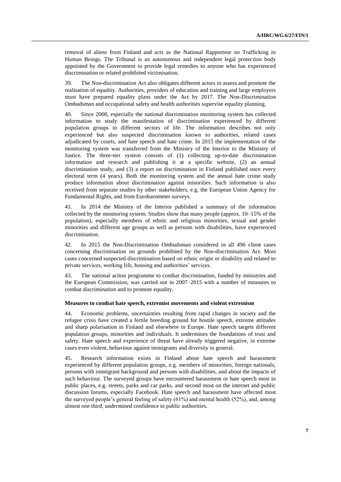removal of aliens from Finland and acts as the National Rapporteur on Trafficking in Human Beings. The Tribunal is an autonomous and independent legal protection body appointed by the Government to provide legal remedies to anyone who has experienced discrimination or related prohibited victimisation.

39. The Non-discrimination Act also obligates different actors to assess and promote the realisation of equality. Authorities, providers of education and training and large employers must have prepared equality plans under the Act by 2017. The Non-Discrimination Ombudsman and occupational safety and health authorities supervise equality planning.

40. Since 2008, especially the national discrimination monitoring system has collected information to study the manifestation of discrimination experienced by different population groups in different sectors of life. The information describes not only experienced but also suspected discrimination known to authorities, related cases adjudicated by courts, and hate speech and hate crime. In 2015 the implementation of the monitoring system was transferred from the Ministry of the Interior to the Ministry of Justice. The three-tier system consists of (1) collecting up-to-date discrimination information and research and publishing it at a specific website, (2) an annual discrimination study, and (3) a report on discrimination in Finland published once every electoral term (4 years). Both the monitoring system and the annual hate crime study produce information about discrimination against minorities. Such information is also received from separate studies by other stakeholders, e.g. the European Union Agency for Fundamental Rights, and from Eurobarometer surveys.

41. In 2014 the Ministry of the Interior published a summary of the information collected by the monitoring system. Studies show that many people (approx. 10–15% of the population), especially members of ethnic and religious minorities, sexual and gender minorities and different age groups as well as persons with disabilities, have experienced discrimination.

42. In 2015 the Non-Discrimination Ombudsman considered in all 496 client cases concerning discrimination on grounds prohibited by the Non-discrimination Act. Most cases concerned suspected discrimination based on ethnic origin or disability and related to private services, working life, housing and authorities' services.

43. The national action programme to combat discrimination, funded by ministries and the European Commission, was carried out in 2007–2015 with a number of measures to combat discrimination and to promote equality.

#### **Measures to combat hate speech, extremist movements and violent extremism**

44. Economic problems, uncertainties resulting from rapid changes in society and the refugee crisis have created a fertile breeding ground for hostile speech, extreme attitudes and sharp polarisation in Finland and elsewhere in Europe. Hate speech targets different population groups, minorities and individuals. It undermines the foundations of trust and safety. Hate speech and experience of threat have already triggered negative, in extreme cases even violent, behaviour against immigrants and diversity in general.

45. Research information exists in Finland about hate speech and harassment experienced by different population groups, e.g. members of minorities, foreign nationals, persons with immigrant background and persons with disabilities, and about the impacts of such behaviour. The surveyed groups have encountered harassment or hate speech most in public places, e.g. streets, parks and car parks, and second most on the internet and public discussion forums, especially Facebook. Hate speech and harassment have affected most the surveyed people's general feeling of safety (61%) and mental health (52%), and, among almost one third, undermined confidence in public authorities.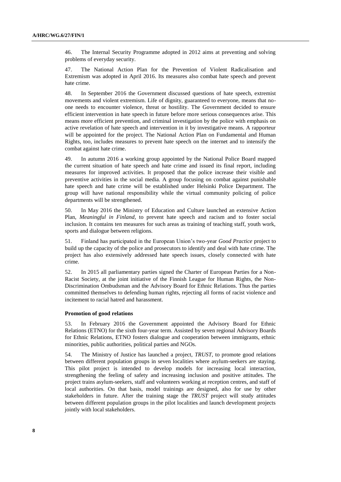46. The Internal Security Programme adopted in 2012 aims at preventing and solving problems of everyday security.

47. The National Action Plan for the Prevention of Violent Radicalisation and Extremism was adopted in April 2016. Its measures also combat hate speech and prevent hate crime.

48. In September 2016 the Government discussed questions of hate speech, extremist movements and violent extremism. Life of dignity, guaranteed to everyone, means that noone needs to encounter violence, threat or hostility. The Government decided to ensure efficient intervention in hate speech in future before more serious consequences arise. This means more efficient prevention, and criminal investigation by the police with emphasis on active revelation of hate speech and intervention in it by investigative means. A rapporteur will be appointed for the project. The National Action Plan on Fundamental and Human Rights, too, includes measures to prevent hate speech on the internet and to intensify the combat against hate crime.

49. In autumn 2016 a working group appointed by the National Police Board mapped the current situation of hate speech and hate crime and issued its final report, including measures for improved activities. It proposed that the police increase their visible and preventive activities in the social media. A group focusing on combat against punishable hate speech and hate crime will be established under Helsinki Police Department. The group will have national responsibility while the virtual community policing of police departments will be strengthened.

50. In May 2016 the Ministry of Education and Culture launched an extensive Action Plan, *Meaningful in Finland*, to prevent hate speech and racism and to foster social inclusion. It contains ten measures for such areas as training of teaching staff, youth work, sports and dialogue between religions.

51. Finland has participated in the European Union's two-year *Good Practice* project to build up the capacity of the police and prosecutors to identify and deal with hate crime. The project has also extensively addressed hate speech issues, closely connected with hate crime.

52. In 2015 all parliamentary parties signed the Charter of European Parties for a Non-Racist Society, at the joint initiative of the Finnish League for Human Rights, the Non-Discrimination Ombudsman and the Advisory Board for Ethnic Relations. Thus the parties committed themselves to defending human rights, rejecting all forms of racist violence and incitement to racial hatred and harassment.

### **Promotion of good relations**

53. In February 2016 the Government appointed the Advisory Board for Ethnic Relations (ETNO) for the sixth four-year term. Assisted by seven regional Advisory Boards for Ethnic Relations, ETNO fosters dialogue and cooperation between immigrants, ethnic minorities, public authorities, political parties and NGOs.

54. The Ministry of Justice has launched a project, *TRUST,* to promote good relations between different population groups in seven localities where asylum-seekers are staying. This pilot project is intended to develop models for increasing local interaction, strengthening the feeling of safety and increasing inclusion and positive attitudes. The project trains asylum-seekers, staff and volunteers working at reception centres, and staff of local authorities. On that basis, model trainings are designed, also for use by other stakeholders in future. After the training stage the *TRUST* project will study attitudes between different population groups in the pilot localities and launch development projects jointly with local stakeholders.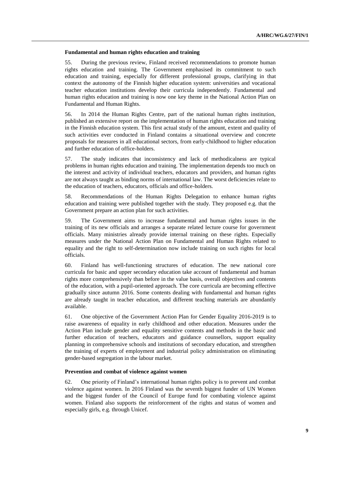#### **Fundamental and human rights education and training**

55. During the previous review, Finland received recommendations to promote human rights education and training. The Government emphasised its commitment to such education and training, especially for different professional groups, clarifying in that context the autonomy of the Finnish higher education system: universities and vocational teacher education institutions develop their curricula independently. Fundamental and human rights education and training is now one key theme in the National Action Plan on Fundamental and Human Rights.

56. In 2014 the Human Rights Centre, part of the national human rights institution, published an extensive report on the implementation of human rights education and training in the Finnish education system. This first actual study of the amount, extent and quality of such activities ever conducted in Finland contains a situational overview and concrete proposals for measures in all educational sectors, from early-childhood to higher education and further education of office-holders.

57. The study indicates that inconsistency and lack of methodicalness are typical problems in human rights education and training. The implementation depends too much on the interest and activity of individual teachers, educators and providers, and human rights are not always taught as binding norms of international law. The worst deficiencies relate to the education of teachers, educators, officials and office-holders.

58. Recommendations of the Human Rights Delegation to enhance human rights education and training were published together with the study. They proposed e.g. that the Government prepare an action plan for such activities.

59. The Government aims to increase fundamental and human rights issues in the training of its new officials and arranges a separate related lecture course for government officials. Many ministries already provide internal training on these rights. Especially measures under the National Action Plan on Fundamental and Human Rights related to equality and the right to self-determination now include training on such rights for local officials.

60. Finland has well-functioning structures of education. The new national core curricula for basic and upper secondary education take account of fundamental and human rights more comprehensively than before in the value basis, overall objectives and contents of the education, with a pupil-oriented approach. The core curricula are becoming effective gradually since autumn 2016. Some contents dealing with fundamental and human rights are already taught in teacher education, and different teaching materials are abundantly available.

61. One objective of the Government Action Plan for Gender Equality 2016-2019 is to raise awareness of equality in early childhood and other education. Measures under the Action Plan include gender and equality sensitive contents and methods in the basic and further education of teachers, educators and guidance counsellors, support equality planning in comprehensive schools and institutions of secondary education, and strengthen the training of experts of employment and industrial policy administration on eliminating gender-based segregation in the labour market.

#### **Prevention and combat of violence against women**

62. One priority of Finland's international human rights policy is to prevent and combat violence against women. In 2016 Finland was the seventh biggest funder of UN Women and the biggest funder of the Council of Europe fund for combating violence against women. Finland also supports the reinforcement of the rights and status of women and especially girls, e.g. through Unicef.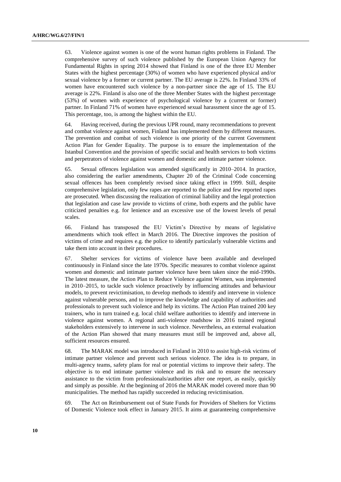63. Violence against women is one of the worst human rights problems in Finland. The comprehensive survey of such violence published by the European Union Agency for Fundamental Rights in spring 2014 showed that Finland is one of the three EU Member States with the highest percentage (30%) of women who have experienced physical and/or sexual violence by a former or current partner. The EU average is 22%. In Finland 33% of women have encountered such violence by a non-partner since the age of 15. The EU average is 22%. Finland is also one of the three Member States with the highest percentage (53%) of women with experience of psychological violence by a (current or former) partner. In Finland 71% of women have experienced sexual harassment since the age of 15. This percentage, too, is among the highest within the EU.

64. Having received, during the previous UPR round, many recommendations to prevent and combat violence against women, Finland has implemented them by different measures. The prevention and combat of such violence is one priority of the current Government Action Plan for Gender Equality. The purpose is to ensure the implementation of the Istanbul Convention and the provision of specific social and health services to both victims and perpetrators of violence against women and domestic and intimate partner violence.

65. Sexual offences legislation was amended significantly in 2010–2014. In practice, also considering the earlier amendments, Chapter 20 of the Criminal Code concerning sexual offences has been completely revised since taking effect in 1999. Still, despite comprehensive legislation, only few rapes are reported to the police and few reported rapes are prosecuted. When discussing the realization of criminal liability and the legal protection that legislation and case law provide to victims of crime, both experts and the public have criticized penalties e.g. for lenience and an excessive use of the lowest levels of penal scales.

66. Finland has transposed the EU Victim's Directive by means of legislative amendments which took effect in March 2016. The Directive improves the position of victims of crime and requires e.g. the police to identify particularly vulnerable victims and take them into account in their procedures.

67. Shelter services for victims of violence have been available and developed continuously in Finland since the late 1970s. Specific measures to combat violence against women and domestic and intimate partner violence have been taken since the mid-1990s. The latest measure, the Action Plan to Reduce Violence against Women, was implemented in 2010–2015, to tackle such violence proactively by influencing attitudes and behaviour models, to prevent revictimisation, to develop methods to identify and intervene in violence against vulnerable persons, and to improve the knowledge and capability of authorities and professionals to prevent such violence and help its victims. The Action Plan trained 200 key trainers, who in turn trained e.g. local child welfare authorities to identify and intervene in violence against women. A regional anti-violence roadshow in 2016 trained regional stakeholders extensively to intervene in such violence. Nevertheless, an external evaluation of the Action Plan showed that many measures must still be improved and, above all, sufficient resources ensured.

68. The MARAK model was introduced in Finland in 2010 to assist high-risk victims of intimate partner violence and prevent such serious violence. The idea is to prepare, in multi-agency teams, safety plans for real or potential victims to improve their safety. The objective is to end intimate partner violence and its risk and to ensure the necessary assistance to the victim from professionals/authorities after one report, as easily, quickly and simply as possible. At the beginning of 2016 the MARAK model covered more than 90 municipalities. The method has rapidly succeeded in reducing revictimisation.

69. The Act on Reimbursement out of State Funds for Providers of Shelters for Victims of Domestic Violence took effect in January 2015. It aims at guaranteeing comprehensive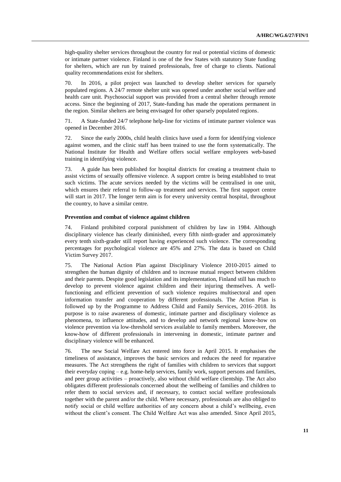high-quality shelter services throughout the country for real or potential victims of domestic or intimate partner violence. Finland is one of the few States with statutory State funding for shelters, which are run by trained professionals, free of charge to clients. National quality recommendations exist for shelters.

70. In 2016, a pilot project was launched to develop shelter services for sparsely populated regions. A 24/7 remote shelter unit was opened under another social welfare and health care unit. Psychosocial support was provided from a central shelter through remote access. Since the beginning of 2017, State-funding has made the operations permanent in the region. Similar shelters are being envisaged for other sparsely populated regions.

71. A State-funded 24/7 telephone help-line for victims of intimate partner violence was opened in December 2016.

72. Since the early 2000s, child health clinics have used a form for identifying violence against women, and the clinic staff has been trained to use the form systematically. The National Institute for Health and Welfare offers social welfare employees web-based training in identifying violence.

73. A guide has been published for hospital districts for creating a treatment chain to assist victims of sexually offensive violence. A support centre is being established to treat such victims. The acute services needed by the victims will be centralised in one unit, which ensures their referral to follow-up treatment and services. The first support centre will start in 2017. The longer term aim is for every university central hospital, throughout the country, to have a similar centre.

### **Prevention and combat of violence against children**

74. Finland prohibited corporal punishment of children by law in 1984. Although disciplinary violence has clearly diminished, every fifth ninth-grader and approximately every tenth sixth-grader still report having experienced such violence. The corresponding percentages for psychological violence are 45% and 27%. The data is based on Child Victim Survey 2017.

75. The National Action Plan against Disciplinary Violence 2010-2015 aimed to strengthen the human dignity of children and to increase mutual respect between children and their parents. Despite good legislation and its implementation, Finland still has much to develop to prevent violence against children and their injuring themselves. A wellfunctioning and efficient prevention of such violence requires multisectoral and open information transfer and cooperation by different professionals. The Action Plan is followed up by the Programme to Address Child and Family Services, 2016–2018. Its purpose is to raise awareness of domestic, intimate partner and disciplinary violence as phenomena, to influence attitudes, and to develop and network regional know-how on violence prevention via low-threshold services available to family members. Moreover, the know-how of different professionals in intervening in domestic, intimate partner and disciplinary violence will be enhanced.

76. The new Social Welfare Act entered into force in April 2015. It emphasises the timeliness of assistance, improves the basic services and reduces the need for reparative measures. The Act strengthens the right of families with children to services that support their everyday coping – e.g. home-help services, family work, support persons and families, and peer group activities – proactively, also without child welfare clientship. The Act also obligates different professionals concerned about the wellbeing of families and children to refer them to social services and, if necessary, to contact social welfare professionals together with the parent and/or the child. Where necessary, professionals are also obliged to notify social or child welfare authorities of any concern about a child's wellbeing, even without the client's consent. The Child Welfare Act was also amended. Since April 2015,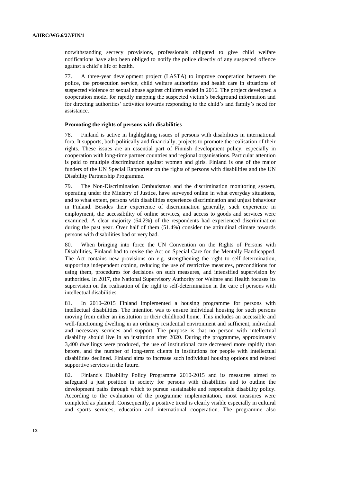notwithstanding secrecy provisions, professionals obligated to give child welfare notifications have also been obliged to notify the police directly of any suspected offence against a child's life or health.

77. A three-year development project (LASTA) to improve cooperation between the police, the prosecution service, child welfare authorities and health care in situations of suspected violence or sexual abuse against children ended in 2016. The project developed a cooperation model for rapidly mapping the suspected victim's background information and for directing authorities' activities towards responding to the child's and family's need for assistance.

### **Promoting the rights of persons with disabilities**

78. Finland is active in highlighting issues of persons with disabilities in international fora. It supports, both politically and financially, projects to promote the realisation of their rights. These issues are an essential part of Finnish development policy, especially in cooperation with long-time partner countries and regional organisations. Particular attention is paid to multiple discrimination against women and girls. Finland is one of the major funders of the UN Special Rapporteur on the rights of persons with disabilities and the UN Disability Partnership Programme.

79. The Non-Discrimination Ombudsman and the discrimination monitoring system, operating under the Ministry of Justice, have surveyed online in what everyday situations, and to what extent, persons with disabilities experience discrimination and unjust behaviour in Finland. Besides their experience of discrimination generally, such experience in employment, the accessibility of online services, and access to goods and services were examined. A clear majority (64.2%) of the respondents had experienced discrimination during the past year. Over half of them (51.4%) consider the attitudinal climate towards persons with disabilities bad or very bad.

80. When bringing into force the UN Convention on the Rights of Persons with Disabilities, Finland had to revise the Act on Special Care for the Mentally Handicapped. The Act contains new provisions on e.g. strengthening the right to self-determination, supporting independent coping, reducing the use of restrictive measures, preconditions for using them, procedures for decisions on such measures, and intensified supervision by authorities. In 2017, the National Supervisory Authority for Welfare and Health focuses its supervision on the realisation of the right to self-determination in the care of persons with intellectual disabilities.

81. In 2010–2015 Finland implemented a housing programme for persons with intellectual disabilities. The intention was to ensure individual housing for such persons moving from either an institution or their childhood home. This includes an accessible and well-functioning dwelling in an ordinary residential environment and sufficient, individual and necessary services and support. The purpose is that no person with intellectual disability should live in an institution after 2020. During the programme, approximately 3,400 dwellings were produced, the use of institutional care decreased more rapidly than before, and the number of long-term clients in institutions for people with intellectual disabilities declined. Finland aims to increase such individual housing options and related supportive services in the future.

82. Finland's Disability Policy Programme 2010-2015 and its measures aimed to safeguard a just position in society for persons with disabilities and to outline the development paths through which to pursue sustainable and responsible disability policy. According to the evaluation of the programme implementation, most measures were completed as planned. Consequently, a positive trend is clearly visible especially in cultural and sports services, education and international cooperation. The programme also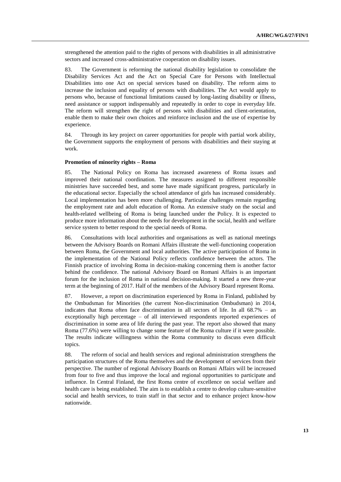strengthened the attention paid to the rights of persons with disabilities in all administrative sectors and increased cross-administrative cooperation on disability issues.

83. The Government is reforming the national disability legislation to consolidate the Disability Services Act and the Act on Special Care for Persons with Intellectual Disabilities into one Act on special services based on disability. The reform aims to increase the inclusion and equality of persons with disabilities. The Act would apply to persons who, because of functional limitations caused by long-lasting disability or illness, need assistance or support indispensably and repeatedly in order to cope in everyday life. The reform will strengthen the right of persons with disabilities and client-orientation, enable them to make their own choices and reinforce inclusion and the use of expertise by experience.

84. Through its key project on career opportunities for people with partial work ability, the Government supports the employment of persons with disabilities and their staying at work.

#### **Promotion of minority rights – Roma**

85. The National Policy on Roma has increased awareness of Roma issues and improved their national coordination. The measures assigned to different responsible ministries have succeeded best, and some have made significant progress, particularly in the educational sector. Especially the school attendance of girls has increased considerably. Local implementation has been more challenging. Particular challenges remain regarding the employment rate and adult education of Roma. An extensive study on the social and health-related wellbeing of Roma is being launched under the Policy. It is expected to produce more information about the needs for development in the social, health and welfare service system to better respond to the special needs of Roma.

86. Consultations with local authorities and organisations as well as national meetings between the Advisory Boards on Romani Affairs illustrate the well-functioning cooperation between Roma, the Government and local authorities. The active participation of Roma in the implementation of the National Policy reflects confidence between the actors. The Finnish practice of involving Roma in decision-making concerning them is another factor behind the confidence. The national Advisory Board on Romani Affairs is an important forum for the inclusion of Roma in national decision-making. It started a new three-year term at the beginning of 2017. Half of the members of the Advisory Board represent Roma.

87. However, a report on discrimination experienced by Roma in Finland, published by the Ombudsman for Minorities (the current Non-discrimination Ombudsman) in 2014, indicates that Roma often face discrimination in all sectors of life. In all 68.7% – an exceptionally high percentage – of all interviewed respondents reported experiences of discrimination in some area of life during the past year. The report also showed that many Roma (77.6%) were willing to change some feature of the Roma culture if it were possible. The results indicate willingness within the Roma community to discuss even difficult topics.

88. The reform of social and health services and regional administration strengthens the participation structures of the Roma themselves and the development of services from their perspective. The number of regional Advisory Boards on Romani Affairs will be increased from four to five and thus improve the local and regional opportunities to participate and influence. In Central Finland, the first Roma centre of excellence on social welfare and health care is being established. The aim is to establish a centre to develop culture-sensitive social and health services, to train staff in that sector and to enhance project know-how nationwide.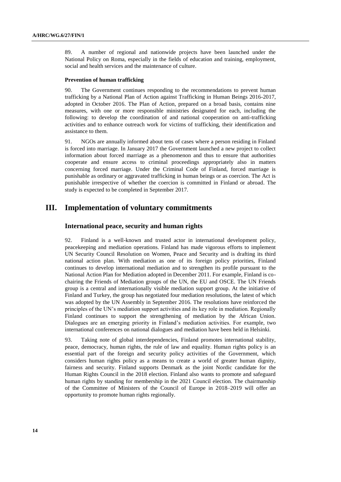89. A number of regional and nationwide projects have been launched under the National Policy on Roma, especially in the fields of education and training, employment, social and health services and the maintenance of culture.

### **Prevention of human trafficking**

90. The Government continues responding to the recommendations to prevent human trafficking by a National Plan of Action against Trafficking in Human Beings 2016-2017, adopted in October 2016. The Plan of Action, prepared on a broad basis, contains nine measures, with one or more responsible ministries designated for each, including the following: to develop the coordination of and national cooperation on anti-trafficking activities and to enhance outreach work for victims of trafficking, their identification and assistance to them.

91. NGOs are annually informed about tens of cases where a person residing in Finland is forced into marriage. In January 2017 the Government launched a new project to collect information about forced marriage as a phenomenon and thus to ensure that authorities cooperate and ensure access to criminal proceedings appropriately also in matters concerning forced marriage. Under the Criminal Code of Finland, forced marriage is punishable as ordinary or aggravated trafficking in human beings or as coercion. The Act is punishable irrespective of whether the coercion is committed in Finland or abroad. The study is expected to be completed in September 2017.

# **III. Implementation of voluntary commitments**

### **International peace, security and human rights**

92. Finland is a well-known and trusted actor in international development policy, peacekeeping and mediation operations. Finland has made vigorous efforts to implement UN Security Council Resolution on Women, Peace and Security and is drafting its third national action plan. With mediation as one of its foreign policy priorities, Finland continues to develop international mediation and to strengthen its profile pursuant to the National Action Plan for Mediation adopted in December 2011. For example, Finland is cochairing the Friends of Mediation groups of the UN, the EU and OSCE. The UN Friends group is a central and internationally visible mediation support group. At the initiative of Finland and Turkey, the group has negotiated four mediation resolutions, the latest of which was adopted by the UN Assembly in September 2016. The resolutions have reinforced the principles of the UN's mediation support activities and its key role in mediation. Regionally Finland continues to support the strengthening of mediation by the African Union. Dialogues are an emerging priority in Finland's mediation activities. For example, two international conferences on national dialogues and mediation have been held in Helsinki.

93. Taking note of global interdependencies, Finland promotes international stability, peace, democracy, human rights, the rule of law and equality. Human rights policy is an essential part of the foreign and security policy activities of the Government, which considers human rights policy as a means to create a world of greater human dignity, fairness and security. Finland supports Denmark as the joint Nordic candidate for the Human Rights Council in the 2018 election. Finland also wants to promote and safeguard human rights by standing for membership in the 2021 Council election. The chairmanship of the Committee of Ministers of the Council of Europe in 2018–2019 will offer an opportunity to promote human rights regionally.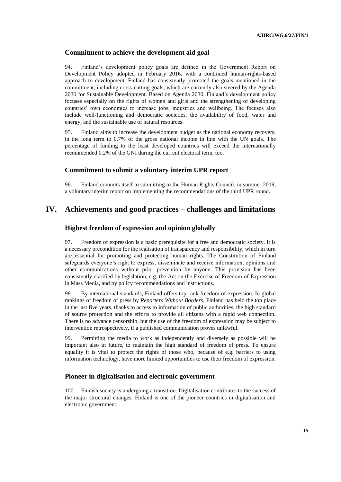# **Commitment to achieve the development aid goal**

94. Finland's development policy goals are defined in the Government Report on Development Policy adopted in February 2016, with a continued human-rights-based approach to development. Finland has consistently promoted the goals mentioned in the commitment, including cross-cutting goals, which are currently also steered by the Agenda 2030 for Sustainable Development. Based on Agenda 2030, Finland's development policy focuses especially on the rights of women and girls and the strengthening of developing countries' own economies to increase jobs, industries and wellbeing. The focuses also include well-functioning and democratic societies, the availability of food, water and energy, and the sustainable use of natural resources.

95. Finland aims to increase the development budget as the national economy recovers, in the long term to 0.7% of the gross national income in line with the UN goals. The percentage of funding to the least developed countries will exceed the internationally recommended 0.2% of the GNI during the current electoral term, too.

### **Commitment to submit a voluntary interim UPR report**

96. Finland commits itself to submitting to the Human Rights Council, in summer 2019, a voluntary interim report on implementing the recommendations of the third UPR round.

# **IV. Achievements and good practices – challenges and limitations**

### **Highest freedom of expression and opinion globally**

97. Freedom of expression is a basic prerequisite for a free and democratic society. It is a necessary precondition for the realisation of transparency and responsibility, which in turn are essential for promoting and protecting human rights. The Constitution of Finland safeguards everyone's right to express, disseminate and receive information, opinions and other communications without prior prevention by anyone. This provision has been consistently clarified by legislation, e.g. the Act on the Exercise of Freedom of Expression in Mass Media, and by policy recommendations and instructions.

98. By international standards, Finland offers top-rank freedom of expression. In global rankings of freedom of press by *Reporters Without Borders*, Finland has held the top place in the last five years, thanks to access to information of public authorities, the high standard of source protection and the efforts to provide all citizens with a rapid web connection. There is no advance censorship, but the use of the freedom of expression may be subject to intervention retrospectively, if a published communication proves unlawful.

99. Permitting the media to work as independently and diversely as possible will be important also in future, to maintain the high standard of freedom of press. To ensure equality it is vital to protect the rights of those who, because of e.g. barriers to using information technology, have more limited opportunities to use their freedom of expression.

### **Pioneer in digitalisation and electronic government**

100. Finnish society is undergoing a transition. Digitalisation contributes to the success of the major structural changes. Finland is one of the pioneer countries in digitalisation and electronic government.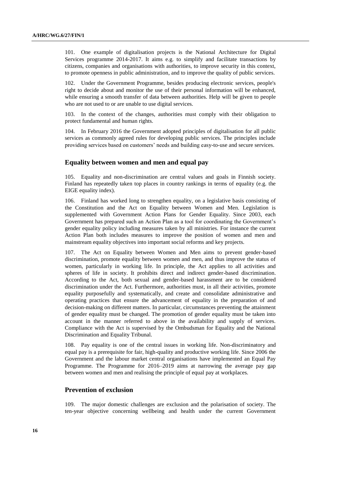101. One example of digitalisation projects is the National Architecture for Digital Services programme 2014-2017. It aims e.g. to simplify and facilitate transactions by citizens, companies and organisations with authorities, to improve security in this context, to promote openness in public administration, and to improve the quality of public services.

102. Under the Government Programme, besides producing electronic services, people's right to decide about and monitor the use of their personal information will be enhanced, while ensuring a smooth transfer of data between authorities. Help will be given to people who are not used to or are unable to use digital services.

103. In the context of the changes, authorities must comply with their obligation to protect fundamental and human rights.

104. In February 2016 the Government adopted principles of digitalisation for all public services as commonly agreed rules for developing public services. The principles include providing services based on customers' needs and building easy-to-use and secure services.

### **Equality between women and men and equal pay**

105. Equality and non-discrimination are central values and goals in Finnish society. Finland has repeatedly taken top places in country rankings in terms of equality (e.g. the EIGE equality index).

106. Finland has worked long to strengthen equality, on a legislative basis consisting of the Constitution and the Act on Equality between Women and Men. Legislation is supplemented with Government Action Plans for Gender Equality. Since 2003, each Government has prepared such an Action Plan as a tool for coordinating the Government's gender equality policy including measures taken by all ministries. For instance the current Action Plan both includes measures to improve the position of women and men and mainstream equality objectives into important social reforms and key projects.

107. The Act on Equality between Women and Men aims to prevent gender-based discrimination, promote equality between women and men, and thus improve the status of women, particularly in working life. In principle, the Act applies to all activities and spheres of life in society. It prohibits direct and indirect gender-based discrimination. According to the Act, both sexual and gender-based harassment are to be considered discrimination under the Act. Furthermore, authorities must, in all their activities, promote equality purposefully and systematically, and create and consolidate administrative and operating practices that ensure the advancement of equality in the preparation of and decision-making on different matters. In particular, circumstances preventing the attainment of gender equality must be changed. The promotion of gender equality must be taken into account in the manner referred to above in the availability and supply of services. Compliance with the Act is supervised by the Ombudsman for Equality and the National Discrimination and Equality Tribunal.

108. Pay equality is one of the central issues in working life. Non-discriminatory and equal pay is a prerequisite for fair, high-quality and productive working life. Since 2006 the Government and the labour market central organisations have implemented an Equal Pay Programme. The Programme for 2016–2019 aims at narrowing the average pay gap between women and men and realising the principle of equal pay at workplaces.

## **Prevention of exclusion**

109. The major domestic challenges are exclusion and the polarisation of society. The ten-year objective concerning wellbeing and health under the current Government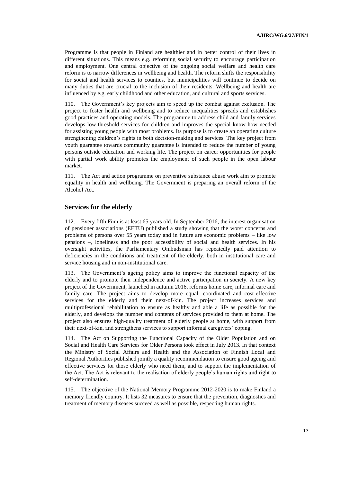Programme is that people in Finland are healthier and in better control of their lives in different situations. This means e.g. reforming social security to encourage participation and employment. One central objective of the ongoing social welfare and health care reform is to narrow differences in wellbeing and health. The reform shifts the responsibility for social and health services to counties, but municipalities will continue to decide on many duties that are crucial to the inclusion of their residents. Wellbeing and health are influenced by e.g. early childhood and other education, and cultural and sports services.

110. The Government's key projects aim to speed up the combat against exclusion. The project to foster health and wellbeing and to reduce inequalities spreads and establishes good practices and operating models. The programme to address child and family services develops low-threshold services for children and improves the special know-how needed for assisting young people with most problems. Its purpose is to create an operating culture strengthening children's rights in both decision-making and services. The key project from youth guarantee towards community guarantee is intended to reduce the number of young persons outside education and working life. The project on career opportunities for people with partial work ability promotes the employment of such people in the open labour market.

111. The Act and action programme on preventive substance abuse work aim to promote equality in health and wellbeing. The Government is preparing an overall reform of the Alcohol Act.

## **Services for the elderly**

112. Every fifth Finn is at least 65 years old. In September 2016, the interest organisation of pensioner associations (EETU) published a study showing that the worst concerns and problems of persons over 55 years today and in future are economic problems – like low pensions –, loneliness and the poor accessibility of social and health services. In his oversight activities, the Parliamentary Ombudsman has repeatedly paid attention to deficiencies in the conditions and treatment of the elderly, both in institutional care and service housing and in non-institutional care.

113. The Government's ageing policy aims to improve the functional capacity of the elderly and to promote their independence and active participation in society. A new key project of the Government, launched in autumn 2016, reforms home care, informal care and family care. The project aims to develop more equal, coordinated and cost-effective services for the elderly and their next-of-kin. The project increases services and multiprofessional rehabilitation to ensure as healthy and able a life as possible for the elderly, and develops the number and contents of services provided to them at home. The project also ensures high-quality treatment of elderly people at home, with support from their next-of-kin, and strengthens services to support informal caregivers' coping.

114. The Act on Supporting the Functional Capacity of the Older Population and on Social and Health Care Services for Older Persons took effect in July 2013. In that context the Ministry of Social Affairs and Health and the Association of Finnish Local and Regional Authorities published jointly a quality recommendation to ensure good ageing and effective services for those elderly who need them, and to support the implementation of the Act. The Act is relevant to the realisation of elderly people's human rights and right to self-determination.

115. The objective of the National Memory Programme 2012-2020 is to make Finland a memory friendly country. It lists 32 measures to ensure that the prevention, diagnostics and treatment of memory diseases succeed as well as possible, respecting human rights.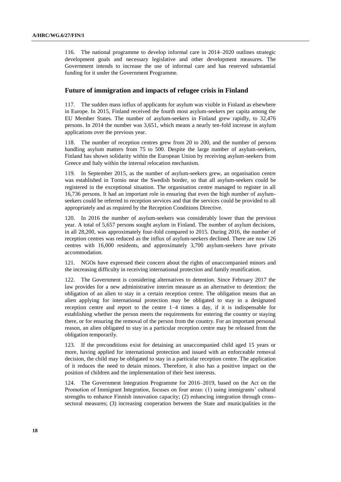116. The national programme to develop informal care in 2014–2020 outlines strategic development goals and necessary legislative and other development measures. The Government intends to increase the use of informal care and has reserved substantial funding for it under the Government Programme.

## **Future of immigration and impacts of refugee crisis in Finland**

117. The sudden mass influx of applicants for asylum was visible in Finland as elsewhere in Europe. In 2015, Finland received the fourth most asylum-seekers per capita among the EU Member States. The number of asylum-seekers in Finland grew rapidly, to 32,476 persons. In 2014 the number was 3,651, which means a nearly ten-fold increase in asylum applications over the previous year.

118. The number of reception centres grew from 20 to 200, and the number of persons handling asylum matters from 75 to 500. Despite the large number of asylum-seekers, Finland has shown solidarity within the European Union by receiving asylum-seekers from Greece and Italy within the internal relocation mechanism.

119. In September 2015, as the number of asylum-seekers grew, an organisation centre was established in Tornio near the Swedish border, so that all asylum-seekers could be registered in the exceptional situation. The organisation centre managed to register in all 16,736 persons. It had an important role in ensuring that even the high number of asylumseekers could be referred to reception services and that the services could be provided to all appropriately and as required by the Reception Conditions Directive.

120. In 2016 the number of asylum-seekers was considerably lower than the previous year. A total of 5,657 persons sought asylum in Finland. The number of asylum decisions, in all 28,200, was approximately four-fold compared to 2015. During 2016, the number of reception centres was reduced as the influx of asylum-seekers declined. There are now 126 centres with 16,000 residents, and approximately 3,700 asylum-seekers have private accommodation.

121. NGOs have expressed their concern about the rights of unaccompanied minors and the increasing difficulty in receiving international protection and family reunification.

122. The Government is considering alternatives to detention. Since February 2017 the law provides for a new administrative interim measure as an alternative to detention: the obligation of an alien to stay in a certain reception centre. The obligation means that an alien applying for international protection may be obligated to stay in a designated reception centre and report to the centre 1–4 times a day, if it is indispensable for establishing whether the person meets the requirements for entering the country or staying there, or for ensuring the removal of the person from the country. For an important personal reason, an alien obligated to stay in a particular reception centre may be released from the obligation temporarily.

123. If the preconditions exist for detaining an unaccompanied child aged 15 years or more, having applied for international protection and issued with an enforceable removal decision, the child may be obligated to stay in a particular reception centre. The application of it reduces the need to detain minors. Therefore, it also has a positive impact on the position of children and the implementation of their best interests.

124. The Government Integration Programme for 2016–2019, based on the Act on the Promotion of Immigrant Integration, focuses on four areas: (1) using immigrants' cultural strengths to enhance Finnish innovation capacity; (2) enhancing integration through crosssectoral measures; (3) increasing cooperation between the State and municipalities in the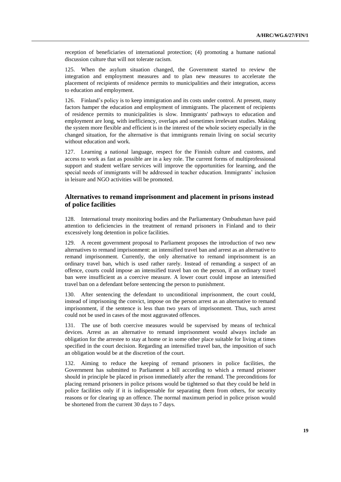reception of beneficiaries of international protection; (4) promoting a humane national discussion culture that will not tolerate racism.

125. When the asylum situation changed, the Government started to review the integration and employment measures and to plan new measures to accelerate the placement of recipients of residence permits to municipalities and their integration, access to education and employment.

126. Finland's policy is to keep immigration and its costs under control. At present, many factors hamper the education and employment of immigrants. The placement of recipients of residence permits to municipalities is slow. Immigrants' pathways to education and employment are long, with inefficiency, overlaps and sometimes irrelevant studies. Making the system more flexible and efficient is in the interest of the whole society especially in the changed situation, for the alternative is that immigrants remain living on social security without education and work.

127. Learning a national language, respect for the Finnish culture and customs, and access to work as fast as possible are in a key role. The current forms of multiprofessional support and student welfare services will improve the opportunities for learning, and the special needs of immigrants will be addressed in teacher education. Immigrants' inclusion in leisure and NGO activities will be promoted.

# **Alternatives to remand imprisonment and placement in prisons instead of police facilities**

128. International treaty monitoring bodies and the Parliamentary Ombudsman have paid attention to deficiencies in the treatment of remand prisoners in Finland and to their excessively long detention in police facilities.

129. A recent government proposal to Parliament proposes the introduction of two new alternatives to remand imprisonment: an intensified travel ban and arrest as an alternative to remand imprisonment. Currently, the only alternative to remand imprisonment is an ordinary travel ban, which is used rather rarely. Instead of remanding a suspect of an offence, courts could impose an intensified travel ban on the person, if an ordinary travel ban were insufficient as a coercive measure. A lower court could impose an intensified travel ban on a defendant before sentencing the person to punishment.

130. After sentencing the defendant to unconditional imprisonment, the court could, instead of imprisoning the convict, impose on the person arrest as an alternative to remand imprisonment, if the sentence is less than two years of imprisonment. Thus, such arrest could not be used in cases of the most aggravated offences.

131. The use of both coercive measures would be supervised by means of technical devices. Arrest as an alternative to remand imprisonment would always include an obligation for the arrestee to stay at home or in some other place suitable for living at times specified in the court decision. Regarding an intensified travel ban, the imposition of such an obligation would be at the discretion of the court.

132. Aiming to reduce the keeping of remand prisoners in police facilities, the Government has submitted to Parliament a bill according to which a remand prisoner should in principle be placed in prison immediately after the remand. The preconditions for placing remand prisoners in police prisons would be tightened so that they could be held in police facilities only if it is indispensable for separating them from others, for security reasons or for clearing up an offence. The normal maximum period in police prison would be shortened from the current 30 days to 7 days.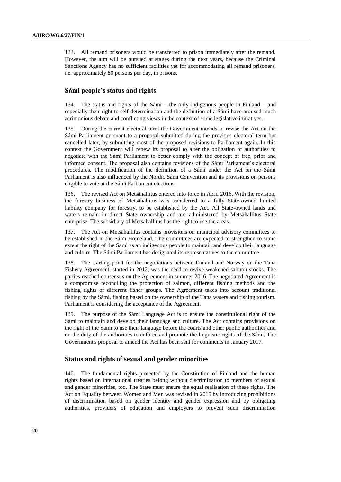133. All remand prisoners would be transferred to prison immediately after the remand. However, the aim will be pursued at stages during the next years, because the Criminal Sanctions Agency has no sufficient facilities yet for accommodating all remand prisoners, i.e. approximately 80 persons per day, in prisons.

# **Sámi people's status and rights**

134. The status and rights of the Sámi – the only indigenous people in Finland – and especially their right to self-determination and the definition of a Sámi have aroused much acrimonious debate and conflicting views in the context of some legislative initiatives.

135. During the current electoral term the Government intends to revise the Act on the Sámi Parliament pursuant to a proposal submitted during the previous electoral term but cancelled later, by submitting most of the proposed revisions to Parliament again. In this context the Government will renew its proposal to alter the obligation of authorities to negotiate with the Sámi Parliament to better comply with the concept of free, prior and informed consent. The proposal also contains revisions of the Sámi Parliament's electoral procedures. The modification of the definition of a Sámi under the Act on the Sámi Parliament is also influenced by the Nordic Sámi Convention and its provisions on persons eligible to vote at the Sámi Parliament elections.

136. The revised Act on Metsähallitus entered into force in April 2016. With the revision, the forestry business of Metsähallitus was transferred to a fully State-owned limited liability company for forestry, to be established by the Act. All State-owned lands and waters remain in direct State ownership and are administered by Metsähallitus State enterprise. The subsidiary of Metsähallitus has the right to use the areas.

137. The Act on Metsähallitus contains provisions on municipal advisory committees to be established in the Sámi Homeland. The committees are expected to strengthen to some extent the right of the Sami as an indigenous people to maintain and develop their language and culture. The Sámi Parliament has designated its representatives to the committee.

138. The starting point for the negotiations between Finland and Norway on the Tana Fishery Agreement, started in 2012, was the need to revive weakened salmon stocks. The parties reached consensus on the Agreement in summer 2016. The negotiated Agreement is a compromise reconciling the protection of salmon, different fishing methods and the fishing rights of different fisher groups. The Agreement takes into account traditional fishing by the Sámi, fishing based on the ownership of the Tana waters and fishing tourism. Parliament is considering the acceptance of the Agreement.

139. The purpose of the Sámi Language Act is to ensure the constitutional right of the Sámi to maintain and develop their language and culture. The Act contains provisions on the right of the Sami to use their language before the courts and other public authorities and on the duty of the authorities to enforce and promote the linguistic rights of the Sámi. The Government's proposal to amend the Act has been sent for comments in January 2017.

### **Status and rights of sexual and gender minorities**

140. The fundamental rights protected by the Constitution of Finland and the human rights based on international treaties belong without discrimination to members of sexual and gender minorities, too. The State must ensure the equal realisation of these rights. The Act on Equality between Women and Men was revised in 2015 by introducing prohibitions of discrimination based on gender identity and gender expression and by obligating authorities, providers of education and employers to prevent such discrimination